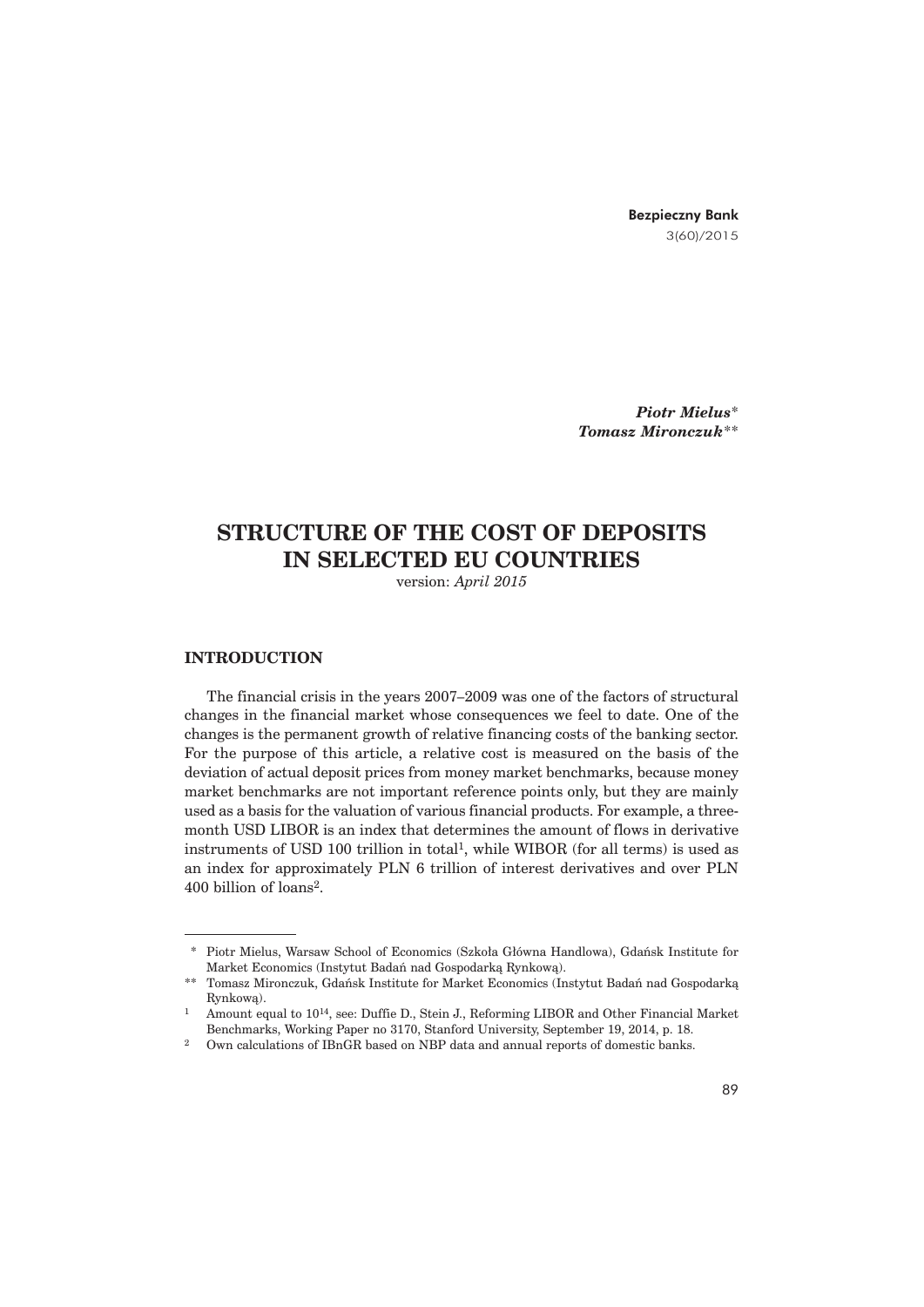Bezpieczny Bank 3(60)/2015

*Piotr Mielus*\* *Tomasz Mironczuk*\*\*

# **STRUCTURE OF THE COST OF DEPOSITS IN SELECTED EU COUNTRIES**

version: *April 2015*

### **INTRODUCTION**

The financial crisis in the years 2007–2009 was one of the factors of structural changes in the financial market whose consequences we feel to date. One of the changes is the permanent growth of relative financing costs of the banking sector. For the purpose of this article, a relative cost is measured on the basis of the deviation of actual deposit prices from money market benchmarks, because money market benchmarks are not important reference points only, but they are mainly used as a basis for the valuation of various financial products. For example, a threemonth USD LIBOR is an index that determines the amount of flows in derivative instruments of USD 100 trillion in total<sup>1</sup>, while WIBOR (for all terms) is used as an index for approximately PLN 6 trillion of interest derivatives and over PLN 400 billion of loans<sup>2</sup>.

<sup>\*</sup> Piotr Mielus, Warsaw School of Economics (Szkoła Główna Handlowa), Gdańsk Institute for Market Economics (Instytut Badań nad Gospodarka Rynkowa).

<sup>\*\*</sup> Tomasz Mironczuk, Gdańsk Institute for Market Economics (Instytut Badań nad Gospodarką Rynkowa).

<sup>1</sup> Amount equal to 1014, see: Duffie D., Stein J., Reforming LIBOR and Other Financial Market Benchmarks, Working Paper no 3170, Stanford University, September 19, 2014, p. 18.

<sup>2</sup> Own calculations of IBnGR based on NBP data and annual reports of domestic banks.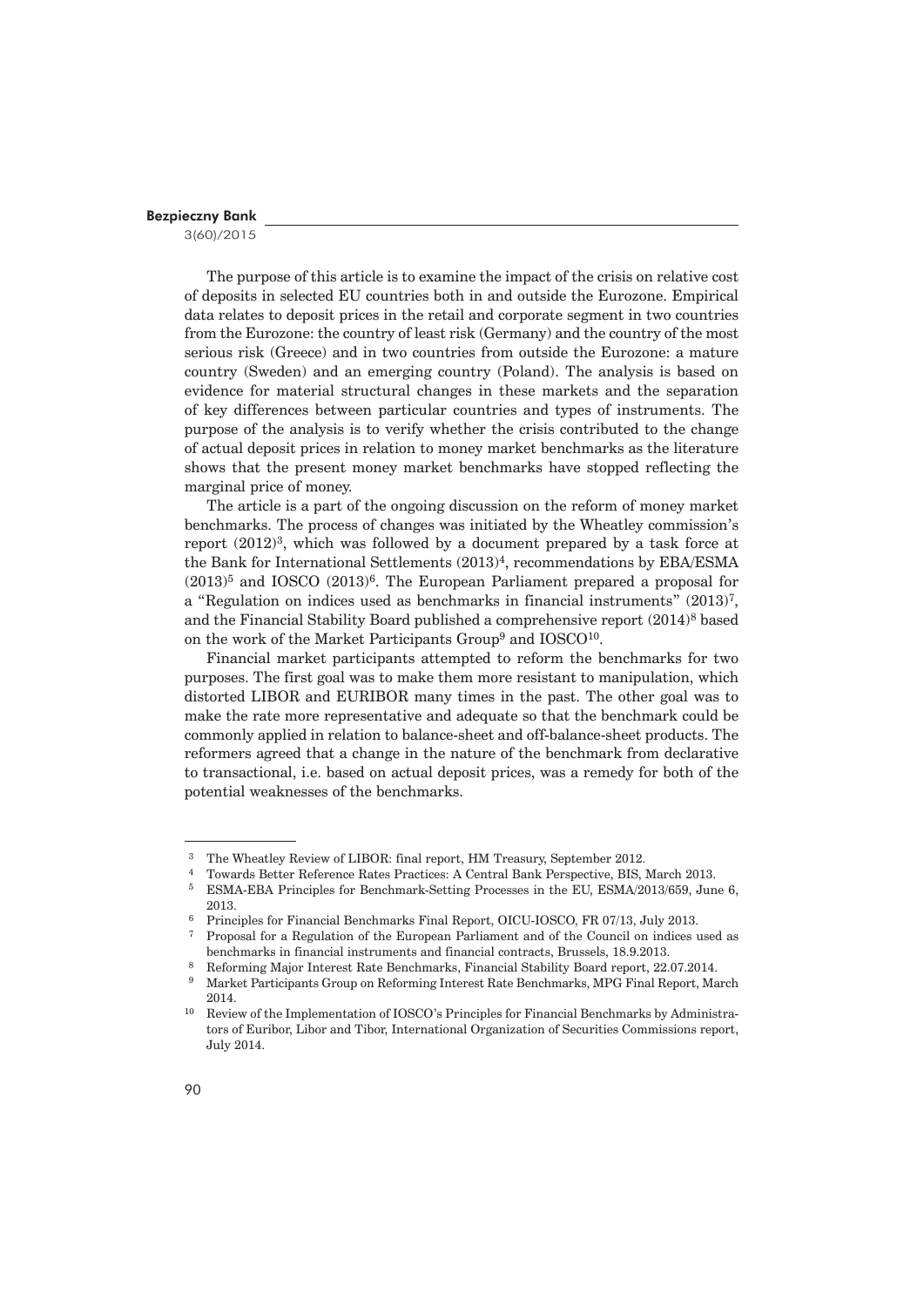3(60)/2015

The purpose of this article is to examine the impact of the crisis on relative cost of deposits in selected EU countries both in and outside the Eurozone. Empirical data relates to deposit prices in the retail and corporate segment in two countries from the Eurozone: the country of least risk (Germany) and the country of the most serious risk (Greece) and in two countries from outside the Eurozone: a mature country (Sweden) and an emerging country (Poland). The analysis is based on evidence for material structural changes in these markets and the separation of key differences between particular countries and types of instruments. The purpose of the analysis is to verify whether the crisis contributed to the change of actual deposit prices in relation to money market benchmarks as the literature shows that the present money market benchmarks have stopped reflecting the marginal price of money.

The article is a part of the ongoing discussion on the reform of money market benchmarks. The process of changes was initiated by the Wheatley commission's report  $(2012)^3$ , which was followed by a document prepared by a task force at the Bank for International Settlements  $(2013)^4$ , recommendations by EBA/ESMA  $(2013)^5$  and IOSCO  $(2013)^6$ . The European Parliament prepared a proposal for a "Regulation on indices used as benchmarks in financial instruments"  $(2013)^7$ , and the Financial Stability Board published a comprehensive report (2014)<sup>8</sup> based on the work of the Market Participants Group<sup>9</sup> and IOSCO<sup>10</sup>.

Financial market participants attempted to reform the benchmarks for two purposes. The first goal was to make them more resistant to manipulation, which distorted LIBOR and EURIBOR many times in the past. The other goal was to make the rate more representative and adequate so that the benchmark could be commonly applied in relation to balance-sheet and off-balance-sheet products. The reformers agreed that a change in the nature of the benchmark from declarative to transactional, i.e. based on actual deposit prices, was a remedy for both of the potential weaknesses of the benchmarks.

 <sup>3</sup> The Wheatley Review of LIBOR: final report, HM Treasury, September 2012.

 <sup>4</sup> Towards Better Reference Rates Practices: A Central Bank Perspective, BIS, March 2013.

 <sup>5</sup> ESMA-EBA Principles for Benchmark-Setting Processes in the EU, ESMA/2013/659, June 6, 2013. 6 Principles for Financial Benchmarks Final Report, OICU-IOSCO, FR 07/13, July 2013.

 <sup>7</sup> Proposal for a Regulation of the European Parliament and of the Council on indices used as benchmarks in financial instruments and financial contracts, Brussels, 18.9.2013.<br><sup>8</sup> Reforming Major Interest Rate Benchmarks, Financial Stability Board report, 22.07.2014.<br><sup>9</sup> Market Bentisipants Crown on Beforming Inter

 <sup>9</sup> Market Participants Group on Reforming Interest Rate Benchmarks, MPG Final Report, March 2014.

<sup>10</sup> Review of the Implementation of IOSCO's Principles for Financial Benchmarks by Administrators of Euribor, Libor and Tibor, International Organization of Securities Commissions report, July 2014.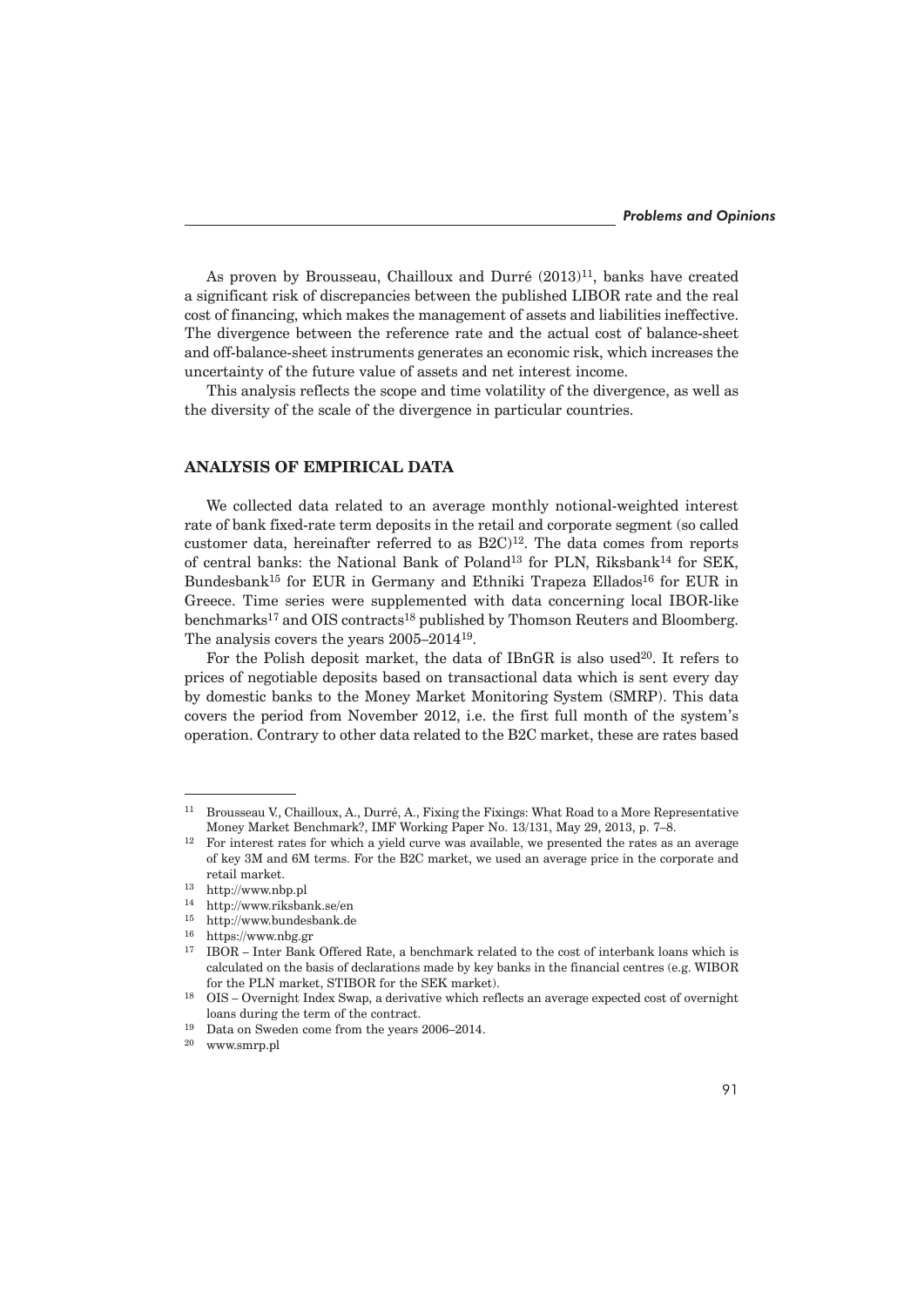As proven by Brousseau, Chailloux and Durré (2013)<sup>11</sup>, banks have created a significant risk of discrepancies between the published LIBOR rate and the real cost of financing, which makes the management of assets and liabilities ineffective. The divergence between the reference rate and the actual cost of balance-sheet and off-balance-sheet instruments generates an economic risk, which increases the uncertainty of the future value of assets and net interest income.

This analysis reflects the scope and time volatility of the divergence, as well as the diversity of the scale of the divergence in particular countries.

# **ANALYSIS OF EMPIRICAL DATA**

We collected data related to an average monthly notional-weighted interest rate of bank fixed-rate term deposits in the retail and corporate segment (so called customer data, hereinafter referred to as  $B2C$ <sup>12</sup>. The data comes from reports of central banks: the National Bank of Poland<sup>13</sup> for PLN, Riksbank<sup>14</sup> for SEK, Bundesbank<sup>15</sup> for EUR in Germany and Ethniki Trapeza Ellados<sup>16</sup> for EUR in Greece. Time series were supplemented with data concerning local IBOR-like benchmarks<sup>17</sup> and OIS contracts<sup>18</sup> published by Thomson Reuters and Bloomberg. The analysis covers the years 2005–201419.

For the Polish deposit market, the data of IBnGR is also used<sup>20</sup>. It refers to prices of negotiable deposits based on transactional data which is sent every day by domestic banks to the Money Market Monitoring System (SMRP). This data covers the period from November 2012, i.e. the first full month of the system's operation. Contrary to other data related to the B2C market, these are rates based

<sup>11</sup> Brousseau V., Chailloux, A., Durré, A., Fixing the Fixings: What Road to a More Representative Money Market Benchmark?, IMF Working Paper No. 13/131, May 29, 2013, p. 7–8.

 $12$  For interest rates for which a yield curve was available, we presented the rates as an average of key 3M and 6M terms. For the B2C market, we used an average price in the corporate and retail market.

<sup>13</sup> http://www.nbp.pl

<sup>14</sup> http://www.riksbank.se/en

<sup>15</sup> http://www.bundesbank.de

<sup>16</sup> https://www.nbg.gr

 $^{17}$   $\,$  IBOR – Inter Bank Offered Rate, a benchmark related to the cost of interbank loans which is calculated on the basis of declarations made by key banks in the financial centres (e.g. WIBOR for the PLN market, STIBOR for the SEK market).

<sup>18</sup> OIS – Overnight Index Swap, a derivative which reflects an average expected cost of overnight loans during the term of the contract.

<sup>&</sup>lt;sup>19</sup> Data on Sweden come from the years 2006–2014.<br> $\frac{20}{20}$  www.cmm pl

www.smrp.pl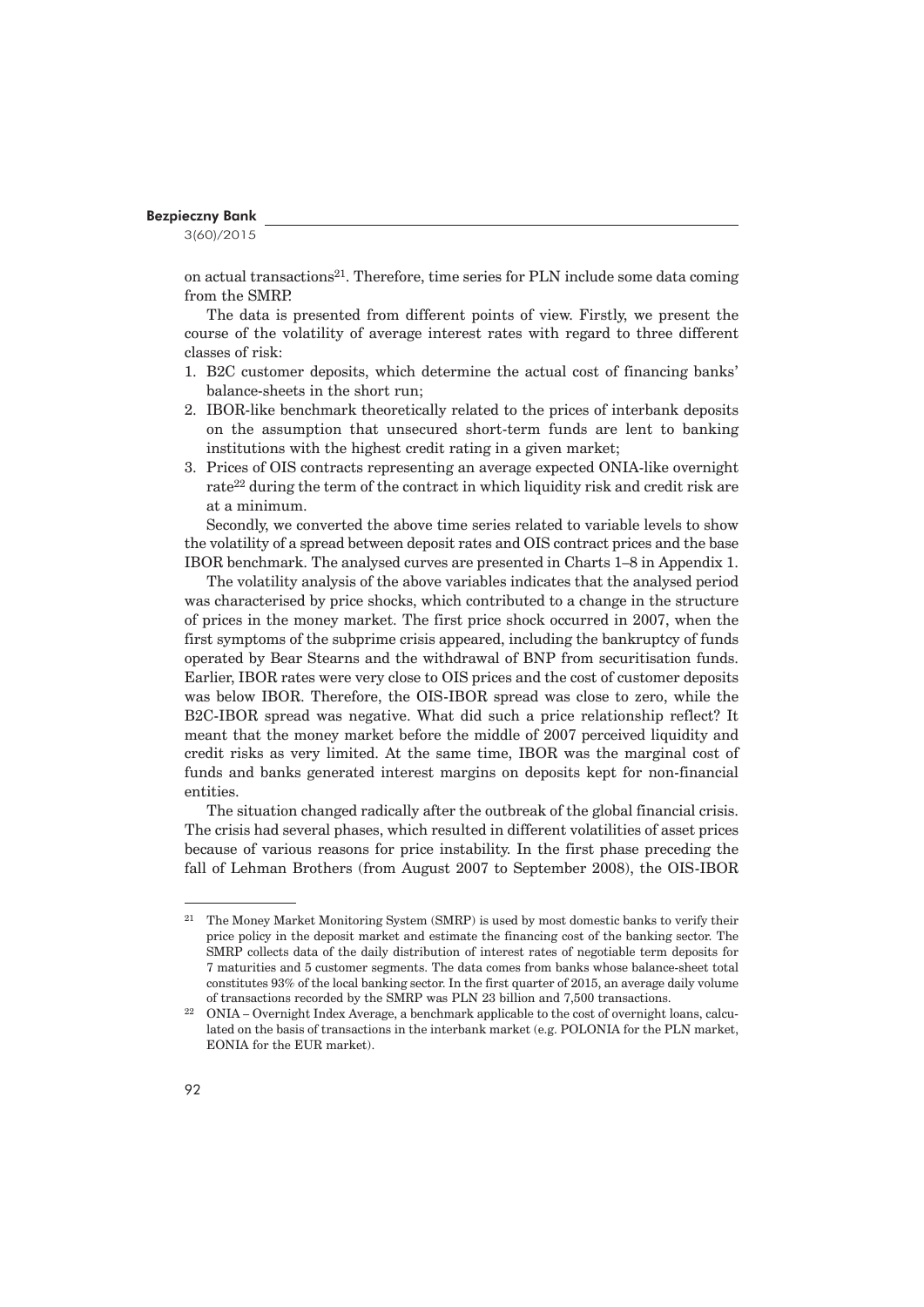3(60)/2015

on actual transactions<sup>21</sup>. Therefore, time series for PLN include some data coming from the SMRP.

The data is presented from different points of view. Firstly, we present the course of the volatility of average interest rates with regard to three different classes of risk:

- 1. B2C customer deposits, which determine the actual cost of financing banks' balance-sheets in the short run;
- 2. IBOR-like benchmark theoretically related to the prices of interbank deposits on the assumption that unsecured short-term funds are lent to banking institutions with the highest credit rating in a given market;
- 3. Prices of OIS contracts representing an average expected ONIA-like overnight rate<sup>22</sup> during the term of the contract in which liquidity risk and credit risk are at a minimum.

Secondly, we converted the above time series related to variable levels to show the volatility of a spread between deposit rates and OIS contract prices and the base IBOR benchmark. The analysed curves are presented in Charts 1–8 in Appendix 1.

The volatility analysis of the above variables indicates that the analysed period was characterised by price shocks, which contributed to a change in the structure of prices in the money market. The first price shock occurred in 2007, when the first symptoms of the subprime crisis appeared, including the bankruptcy of funds operated by Bear Stearns and the withdrawal of BNP from securitisation funds. Earlier, IBOR rates were very close to OIS prices and the cost of customer deposits was below IBOR. Therefore, the OIS-IBOR spread was close to zero, while the B2C-IBOR spread was negative. What did such a price relationship reflect? It meant that the money market before the middle of 2007 perceived liquidity and credit risks as very limited. At the same time, IBOR was the marginal cost of funds and banks generated interest margins on deposits kept for non-financial entities.

The situation changed radically after the outbreak of the global financial crisis. The crisis had several phases, which resulted in different volatilities of asset prices because of various reasons for price instability. In the first phase preceding the fall of Lehman Brothers (from August 2007 to September 2008), the OIS-IBOR

<sup>21</sup> The Money Market Monitoring System (SMRP) is used by most domestic banks to verify their price policy in the deposit market and estimate the financing cost of the banking sector. The SMRP collects data of the daily distribution of interest rates of negotiable term deposits for 7 maturities and 5 customer segments. The data comes from banks whose balance-sheet total constitutes 93% of the local banking sector. In the first quarter of 2015, an average daily volume of transactions recorded by the SMRP was PLN 23 billion and 7,500 transactions.

<sup>22</sup> ONIA – Overnight Index Average, a benchmark applicable to the cost of overnight loans, calculated on the basis of transactions in the interbank market (e.g. POLONIA for the PLN market, EONIA for the EUR market).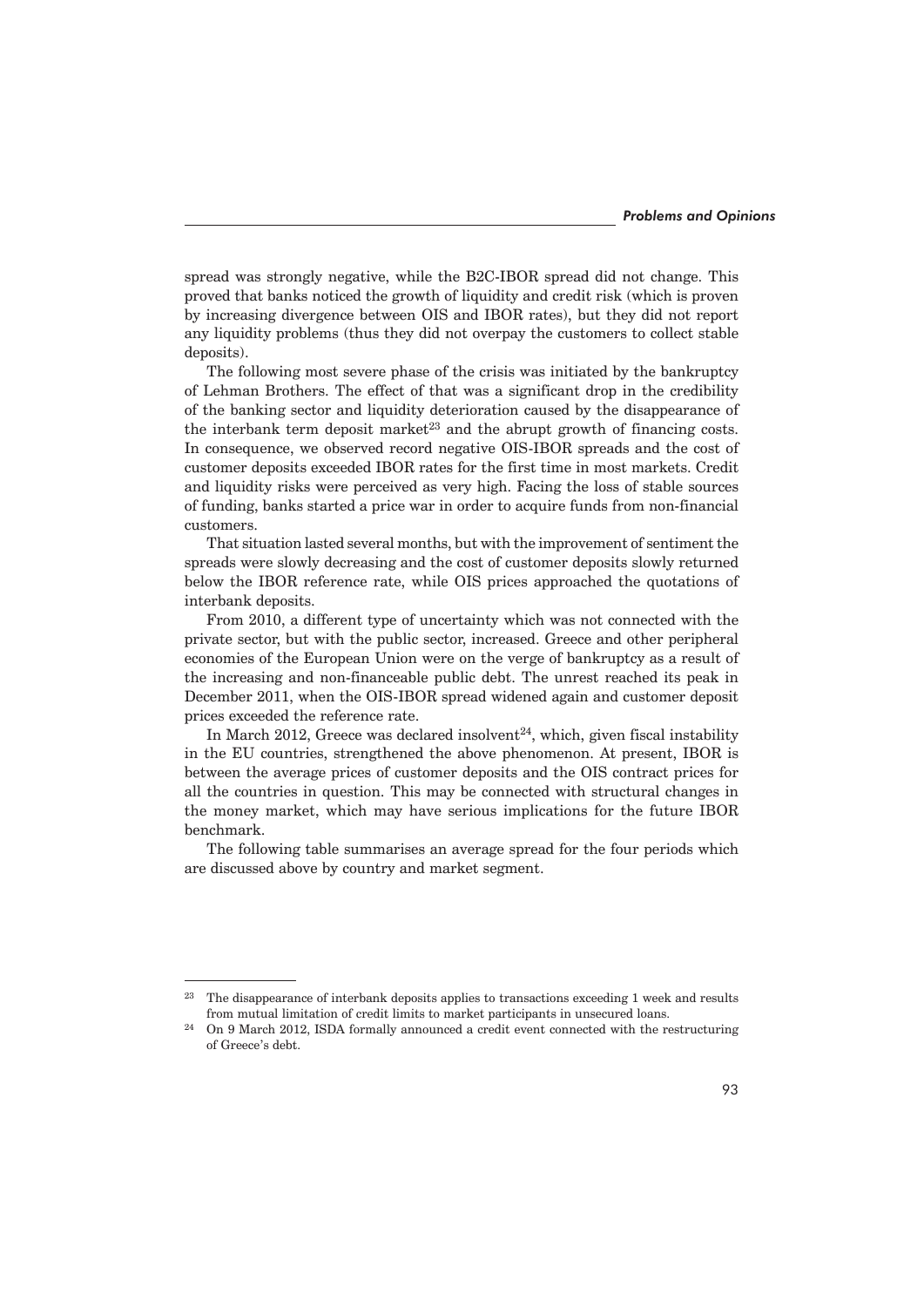spread was strongly negative, while the B2C-IBOR spread did not change. This proved that banks noticed the growth of liquidity and credit risk (which is proven by increasing divergence between OIS and IBOR rates), but they did not report any liquidity problems (thus they did not overpay the customers to collect stable deposits).

The following most severe phase of the crisis was initiated by the bankruptcy of Lehman Brothers. The effect of that was a significant drop in the credibility of the banking sector and liquidity deterioration caused by the disappearance of the interbank term deposit market<sup>23</sup> and the abrupt growth of financing costs. In consequence, we observed record negative OIS-IBOR spreads and the cost of customer deposits exceeded IBOR rates for the first time in most markets. Credit and liquidity risks were perceived as very high. Facing the loss of stable sources of funding, banks started a price war in order to acquire funds from non-financial customers.

That situation lasted several months, but with the improvement of sentiment the spreads were slowly decreasing and the cost of customer deposits slowly returned below the IBOR reference rate, while OIS prices approached the quotations of interbank deposits.

From 2010, a different type of uncertainty which was not connected with the private sector, but with the public sector, increased. Greece and other peripheral economies of the European Union were on the verge of bankruptcy as a result of the increasing and non-financeable public debt. The unrest reached its peak in December 2011, when the OIS-IBOR spread widened again and customer deposit prices exceeded the reference rate.

In March 2012, Greece was declared insolvent $24$ , which, given fiscal instability in the EU countries, strengthened the above phenomenon. At present, IBOR is between the average prices of customer deposits and the OIS contract prices for all the countries in question. This may be connected with structural changes in the money market, which may have serious implications for the future IBOR benchmark.

The following table summarises an average spread for the four periods which are discussed above by country and market segment.

<sup>&</sup>lt;sup>23</sup> The disappearance of interbank deposits applies to transactions exceeding 1 week and results from mutual limitation of credit limits to market participants in unsecured loans.

 $^{24}$  On 9 March 2012, ISDA formally announced a credit event connected with the restructuring of Greece's debt.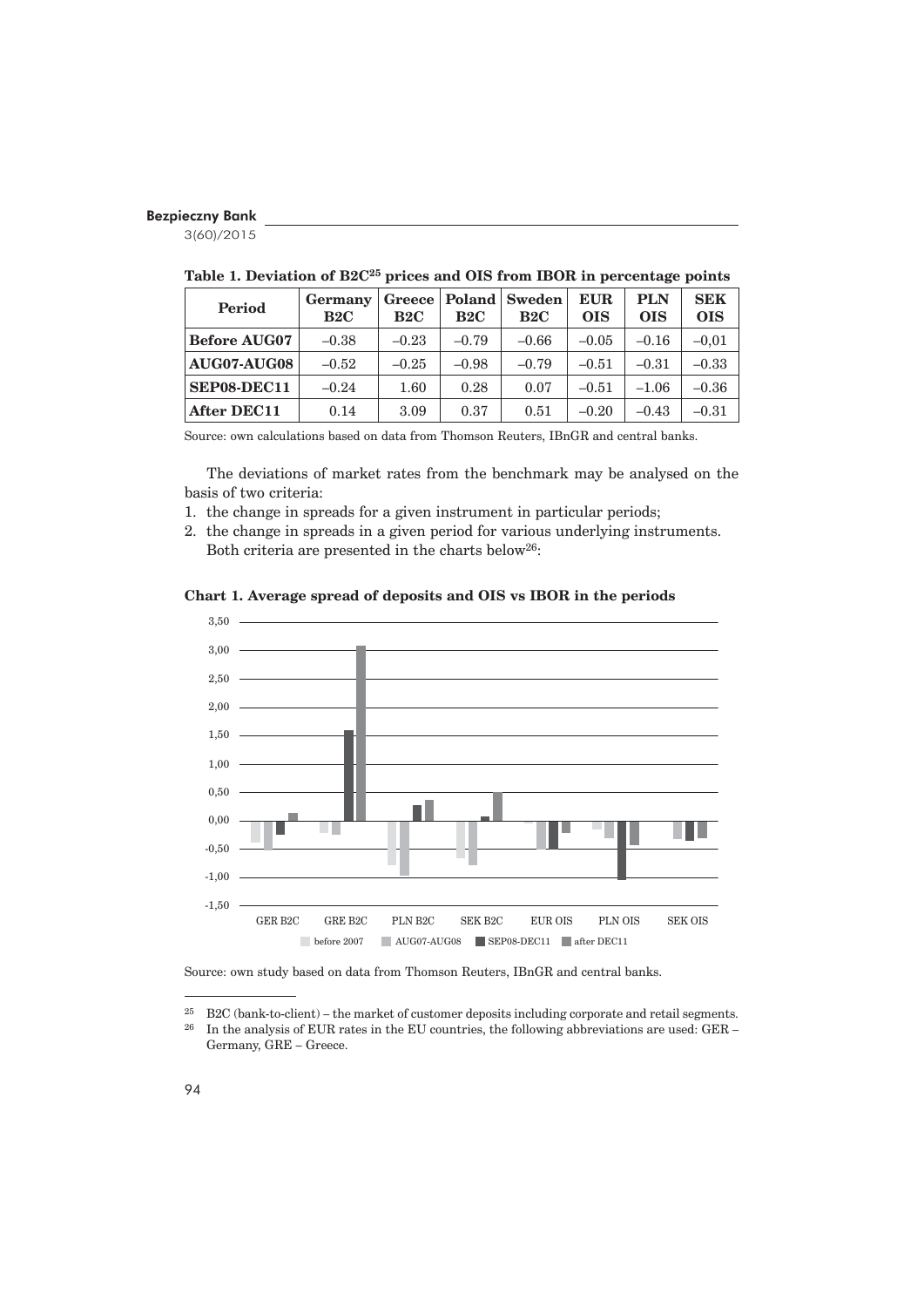3(60)/2015

| <b>Period</b>       | Germany<br>B2C | Greece<br>B2C | Poland<br>B2C | <b>Sweden</b><br>B2C | <b>EUR</b><br><b>OIS</b> | <b>PLN</b><br><b>OIS</b> | <b>SEK</b><br><b>OIS</b> |
|---------------------|----------------|---------------|---------------|----------------------|--------------------------|--------------------------|--------------------------|
| <b>Before AUG07</b> | $-0.38$        | $-0.23$       | $-0.79$       | $-0.66$              | $-0.05$                  | $-0.16$                  | $-0.01$                  |
| AUG07-AUG08         | $-0.52$        | $-0.25$       | $-0.98$       | $-0.79$              | $-0.51$                  | $-0.31$                  | $-0.33$                  |
| SEP08-DEC11         | $-0.24$        | 1.60          | 0.28          | 0.07                 | $-0.51$                  | $-1.06$                  | $-0.36$                  |
| <b>After DEC11</b>  | 0.14           | 3.09          | 0.37          | 0.51                 | $-0.20$                  | $-0.43$                  | $-0.31$                  |

**Table 1. Deviation of B2C25 prices and OIS from IBOR in percentage points**

Source: own calculations based on data from Thomson Reuters, IBnGR and central banks.

The deviations of market rates from the benchmark may be analysed on the basis of two criteria:

- 1. the change in spreads for a given instrument in particular periods;
- 2. the change in spreads in a given period for various underlying instruments. Both criteria are presented in the charts below26:





Source: own study based on data from Thomson Reuters, IBnGR and central banks.

<sup>&</sup>lt;sup>25</sup> B2C (bank-to-client) – the market of customer deposits including corporate and retail segments.<br><sup>26</sup> In the analysis of EUR rates in the EU countries, the following abbreviations are used: GER –

In the analysis of EUR rates in the EU countries, the following abbreviations are used: GER – Germany, GRE – Greece.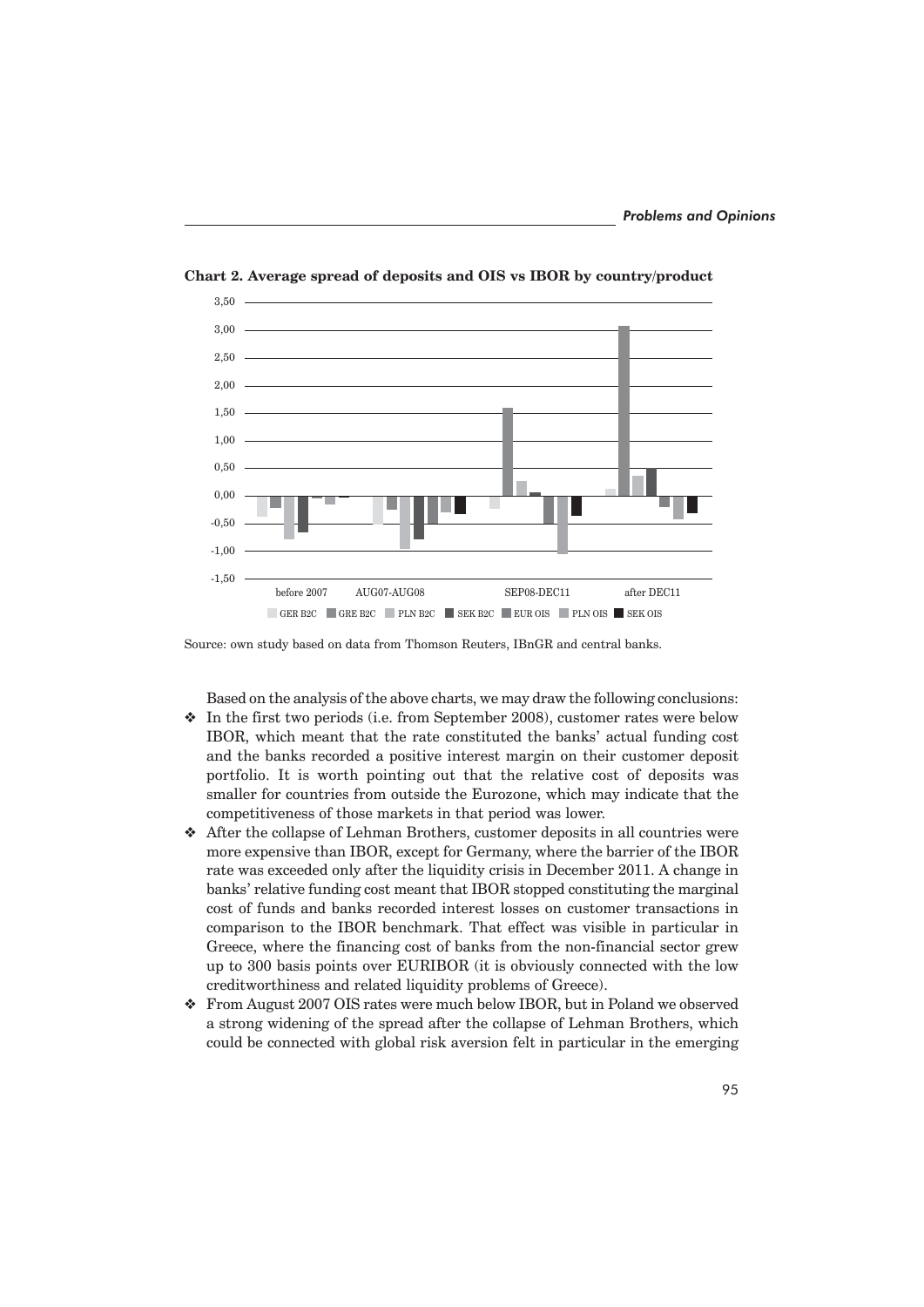

**Chart 2. Average spread of deposits and OIS vs IBOR by country/product**

Source: own study based on data from Thomson Reuters, IBnGR and central banks.

Based on the analysis of the above charts, we may draw the following conclusions:

- $\bullet$  In the first two periods (i.e. from September 2008), customer rates were below IBOR, which meant that the rate constituted the banks' actual funding cost and the banks recorded a positive interest margin on their customer deposit portfolio. It is worth pointing out that the relative cost of deposits was smaller for countries from outside the Eurozone, which may indicate that the competitiveness of those markets in that period was lower.
- Y After the collapse of Lehman Brothers, customer deposits in all countries were more expensive than IBOR, except for Germany, where the barrier of the IBOR rate was exceeded only after the liquidity crisis in December 2011. A change in banks' relative funding cost meant that IBOR stopped constituting the marginal cost of funds and banks recorded interest losses on customer transactions in comparison to the IBOR benchmark. That effect was visible in particular in Greece, where the financing cost of banks from the non-financial sector grew up to 300 basis points over EURIBOR (it is obviously connected with the low creditworthiness and related liquidity problems of Greece).
- Y From August 2007 OIS rates were much below IBOR, but in Poland we observed a strong widening of the spread after the collapse of Lehman Brothers, which could be connected with global risk aversion felt in particular in the emerging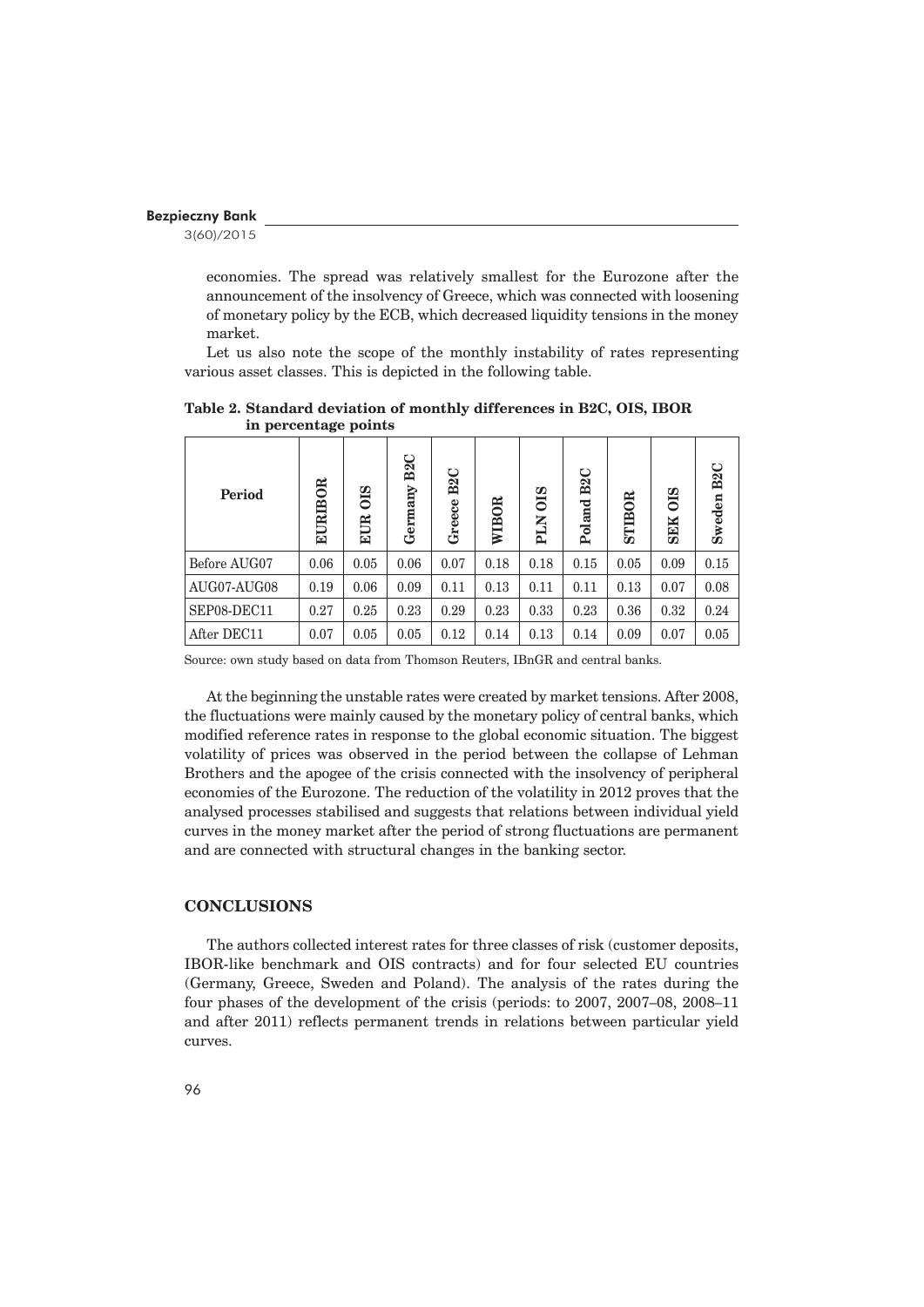3(60)/2015

economies. The spread was relatively smallest for the Eurozone after the announcement of the insolvency of Greece, which was connected with loosening of monetary policy by the ECB, which decreased liquidity tensions in the money market.

Let us also note the scope of the monthly instability of rates representing various asset classes. This is depicted in the following table.

| <b>Period</b> | <b>EURIBOR</b> | $\frac{20}{20}$<br><b>EUR</b> | B <sub>2</sub> C<br>Germany | B <sub>2</sub> C<br>Greece | <b>WIBOR</b> | OIS<br><b>NTd</b> | B <sub>2</sub> C<br>Poland | STIBOR | $rac{}{015}$<br><b>SEK</b> | B <sub>2</sub> C<br><b>Sweden</b> |
|---------------|----------------|-------------------------------|-----------------------------|----------------------------|--------------|-------------------|----------------------------|--------|----------------------------|-----------------------------------|
| Before AUG07  | 0.06           | 0.05                          | 0.06                        | 0.07                       | 0.18         | 0.18              | 0.15                       | 0.05   | 0.09                       | 0.15                              |
| AUG07-AUG08   | 0.19           | 0.06                          | 0.09                        | 0.11                       | 0.13         | 0.11              | 0.11                       | 0.13   | 0.07                       | 0.08                              |
| SEP08-DEC11   | 0.27           | 0.25                          | 0.23                        | 0.29                       | 0.23         | 0.33              | 0.23                       | 0.36   | 0.32                       | 0.24                              |
| After DEC11   | 0.07           | 0.05                          | 0.05                        | 0.12                       | 0.14         | 0.13              | 0.14                       | 0.09   | 0.07                       | 0.05                              |

**Table 2. Standard deviation of monthly differences in B2C, OIS, IBOR in percentage points**

Source: own study based on data from Thomson Reuters, IBnGR and central banks.

At the beginning the unstable rates were created by market tensions. After 2008, the fluctuations were mainly caused by the monetary policy of central banks, which modified reference rates in response to the global economic situation. The biggest volatility of prices was observed in the period between the collapse of Lehman Brothers and the apogee of the crisis connected with the insolvency of peripheral economies of the Eurozone. The reduction of the volatility in 2012 proves that the analysed processes stabilised and suggests that relations between individual yield curves in the money market after the period of strong fluctuations are permanent and are connected with structural changes in the banking sector.

# **CONCLUSIONS**

The authors collected interest rates for three classes of risk (customer deposits, IBOR-like benchmark and OIS contracts) and for four selected EU countries (Germany, Greece, Sweden and Poland). The analysis of the rates during the four phases of the development of the crisis (periods: to 2007, 2007–08, 2008–11 and after 2011) reflects permanent trends in relations between particular yield curves.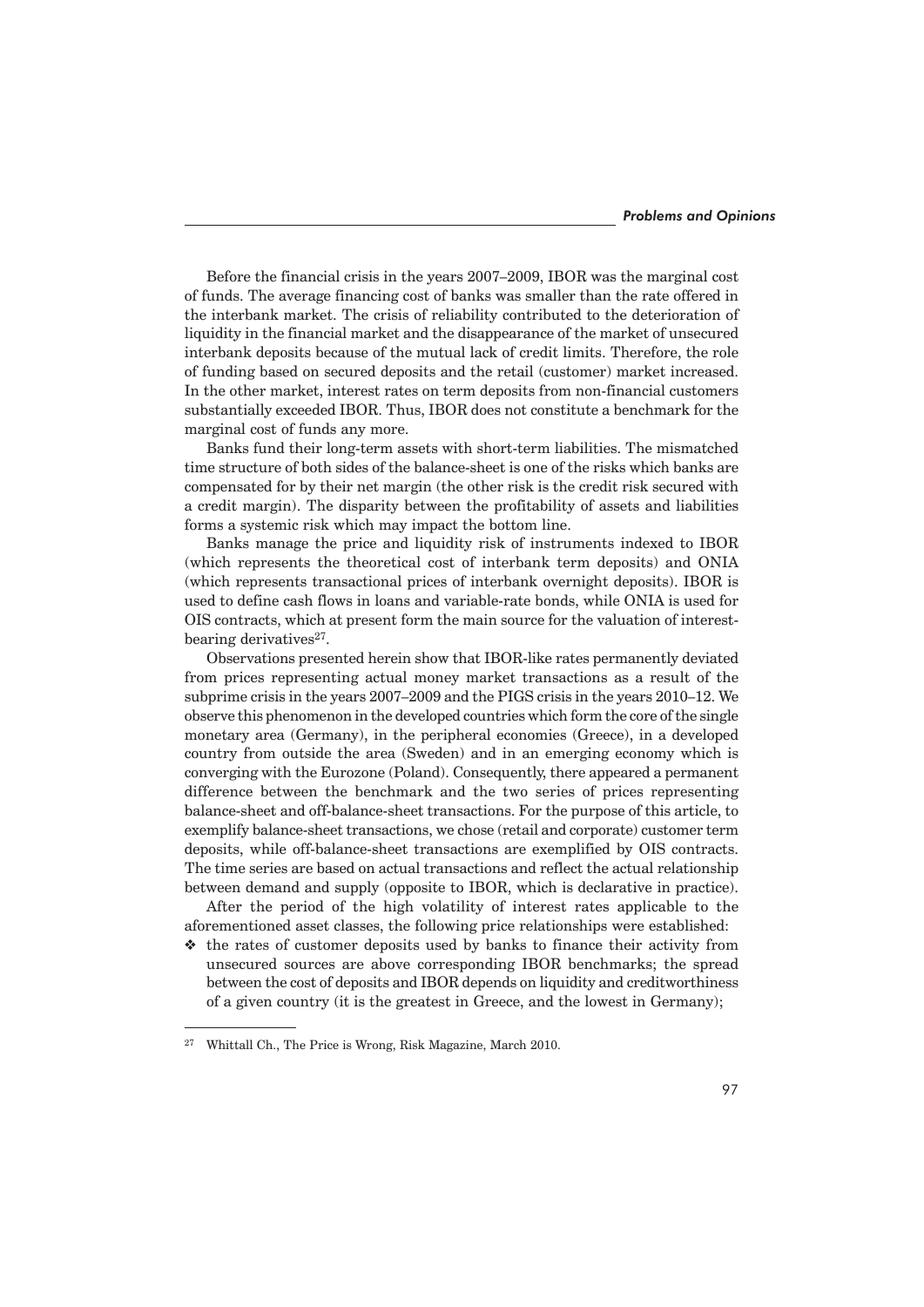Before the financial crisis in the years 2007–2009, IBOR was the marginal cost of funds. The average financing cost of banks was smaller than the rate offered in the interbank market. The crisis of reliability contributed to the deterioration of liquidity in the financial market and the disappearance of the market of unsecured interbank deposits because of the mutual lack of credit limits. Therefore, the role of funding based on secured deposits and the retail (customer) market increased. In the other market, interest rates on term deposits from non-financial customers substantially exceeded IBOR. Thus, IBOR does not constitute a benchmark for the marginal cost of funds any more.

Banks fund their long-term assets with short-term liabilities. The mismatched time structure of both sides of the balance-sheet is one of the risks which banks are compensated for by their net margin (the other risk is the credit risk secured with a credit margin). The disparity between the profitability of assets and liabilities forms a systemic risk which may impact the bottom line.

Banks manage the price and liquidity risk of instruments indexed to IBOR (which represents the theoretical cost of interbank term deposits) and ONIA (which represents transactional prices of interbank overnight deposits). IBOR is used to define cash flows in loans and variable-rate bonds, while ONIA is used for OIS contracts, which at present form the main source for the valuation of interestbearing derivatives<sup>27</sup>.

Observations presented herein show that IBOR-like rates permanently deviated from prices representing actual money market transactions as a result of the subprime crisis in the years 2007–2009 and the PIGS crisis in the years 2010–12. We observe this phenomenon in the developed countries which form the core of the single monetary area (Germany), in the peripheral economies (Greece), in a developed country from outside the area (Sweden) and in an emerging economy which is converging with the Eurozone (Poland). Consequently, there appeared a permanent difference between the benchmark and the two series of prices representing balance-sheet and off-balance-sheet transactions. For the purpose of this article, to exemplify balance-sheet transactions, we chose (retail and corporate) customer term deposits, while off-balance-sheet transactions are exemplified by OIS contracts. The time series are based on actual transactions and reflect the actual relationship between demand and supply (opposite to IBOR, which is declarative in practice).

After the period of the high volatility of interest rates applicable to the aforementioned asset classes, the following price relationships were established:

 $\triangleleft$  the rates of customer deposits used by banks to finance their activity from unsecured sources are above corresponding IBOR benchmarks; the spread between the cost of deposits and IBOR depends on liquidity and creditworthiness of a given country (it is the greatest in Greece, and the lowest in Germany);

<sup>27</sup> Whittall Ch., The Price is Wrong, Risk Magazine, March 2010.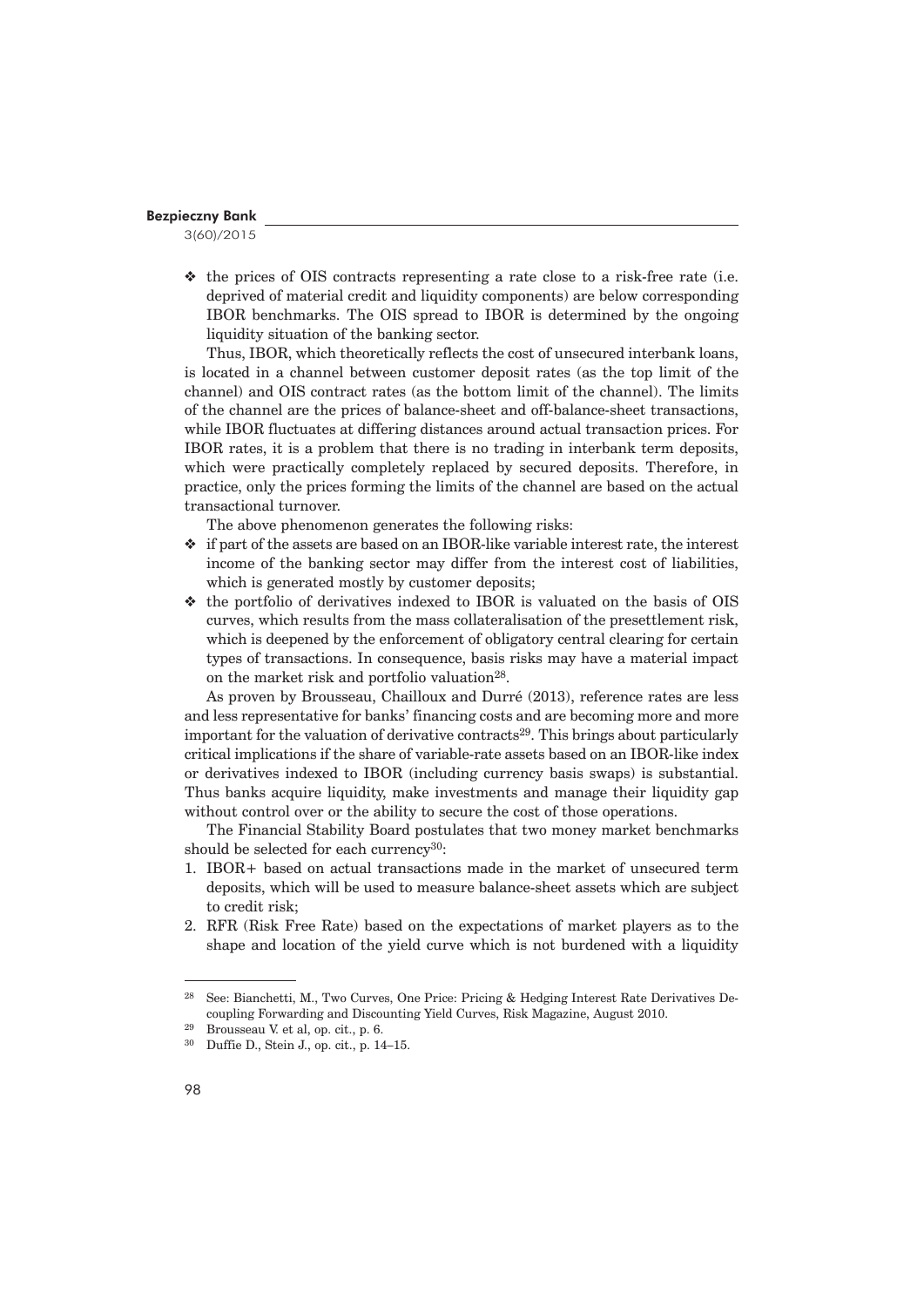3(60)/2015

 $\triangleleft$  the prices of OIS contracts representing a rate close to a risk-free rate (i.e. deprived of material credit and liquidity components) are below corresponding IBOR benchmarks. The OIS spread to IBOR is determined by the ongoing liquidity situation of the banking sector.

Thus, IBOR, which theoretically reflects the cost of unsecured interbank loans, is located in a channel between customer deposit rates (as the top limit of the channel) and OIS contract rates (as the bottom limit of the channel). The limits of the channel are the prices of balance-sheet and off-balance-sheet transactions, while IBOR fluctuates at differing distances around actual transaction prices. For IBOR rates, it is a problem that there is no trading in interbank term deposits, which were practically completely replaced by secured deposits. Therefore, in practice, only the prices forming the limits of the channel are based on the actual transactional turnover.

The above phenomenon generates the following risks:

- $\bullet$  if part of the assets are based on an IBOR-like variable interest rate, the interest income of the banking sector may differ from the interest cost of liabilities, which is generated mostly by customer deposits;
- $\triangleleft$  the portfolio of derivatives indexed to IBOR is valuated on the basis of OIS curves, which results from the mass collateralisation of the presettlement risk, which is deepened by the enforcement of obligatory central clearing for certain types of transactions. In consequence, basis risks may have a material impact on the market risk and portfolio valuation<sup>28</sup>.

As proven by Brousseau, Chailloux and Durré (2013), reference rates are less and less representative for banks' financing costs and are becoming more and more important for the valuation of derivative contracts<sup>29</sup>. This brings about particularly critical implications if the share of variable-rate assets based on an IBOR-like index or derivatives indexed to IBOR (including currency basis swaps) is substantial. Thus banks acquire liquidity, make investments and manage their liquidity gap without control over or the ability to secure the cost of those operations.

The Financial Stability Board postulates that two money market benchmarks should be selected for each currency<sup>30</sup>:

- 1. IBOR+ based on actual transactions made in the market of unsecured term deposits, which will be used to measure balance-sheet assets which are subject to credit risk;
- 2. RFR (Risk Free Rate) based on the expectations of market players as to the shape and location of the yield curve which is not burdened with a liquidity

<sup>28</sup> See: Bianchetti, M., Two Curves, One Price: Pricing & Hedging Interest Rate Derivatives Decoupling Forwarding and Discounting Yield Curves, Risk Magazine, August 2010.

<sup>&</sup>lt;sup>29</sup> Brousseau V. et al, op. cit., p. 6.<br><sup>30</sup> Duffie D. Stein J. op. cit., p. 14

<sup>30</sup> Duffie D., Stein J., op. cit., p. 14–15.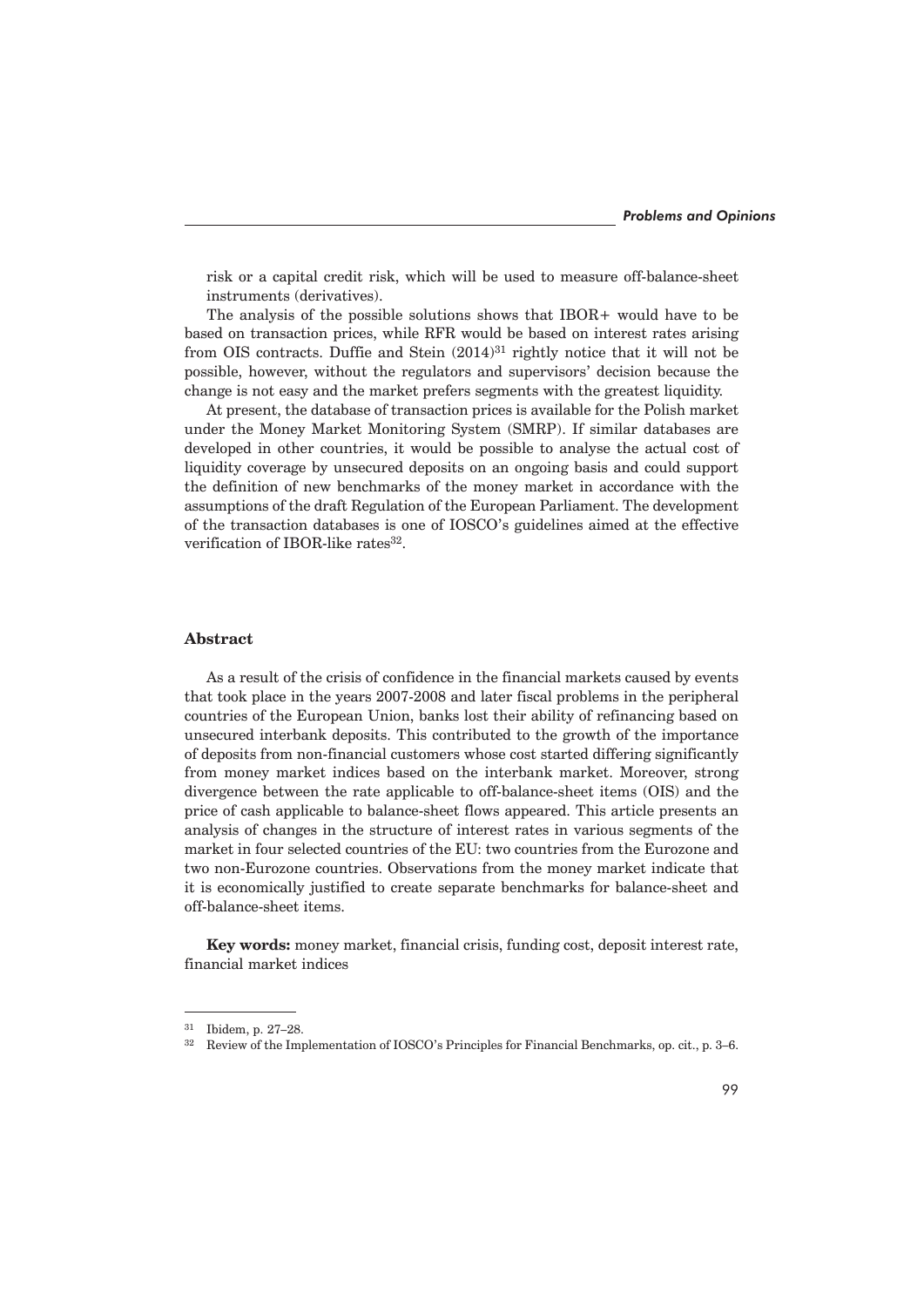risk or a capital credit risk, which will be used to measure off-balance-sheet instruments (derivatives).

The analysis of the possible solutions shows that IBOR+ would have to be based on transaction prices, while RFR would be based on interest rates arising from OIS contracts. Duffie and Stein  $(2014)^{31}$  rightly notice that it will not be possible, however, without the regulators and supervisors' decision because the change is not easy and the market prefers segments with the greatest liquidity.

At present, the database of transaction prices is available for the Polish market under the Money Market Monitoring System (SMRP). If similar databases are developed in other countries, it would be possible to analyse the actual cost of liquidity coverage by unsecured deposits on an ongoing basis and could support the definition of new benchmarks of the money market in accordance with the assumptions of the draft Regulation of the European Parliament. The development of the transaction databases is one of IOSCO's guidelines aimed at the effective verification of IBOR-like rates<sup>32</sup>.

### **Abstract**

As a result of the crisis of confidence in the financial markets caused by events that took place in the years 2007-2008 and later fiscal problems in the peripheral countries of the European Union, banks lost their ability of refinancing based on unsecured interbank deposits. This contributed to the growth of the importance of deposits from non-financial customers whose cost started differing significantly from money market indices based on the interbank market. Moreover, strong divergence between the rate applicable to off-balance-sheet items (OIS) and the price of cash applicable to balance-sheet flows appeared. This article presents an analysis of changes in the structure of interest rates in various segments of the market in four selected countries of the EU: two countries from the Eurozone and two non-Eurozone countries. Observations from the money market indicate that it is economically justified to create separate benchmarks for balance-sheet and off-balance-sheet items.

**Key words:** money market, financial crisis, funding cost, deposit interest rate, financial market indices

<sup>31</sup> Ibidem, p. 27–28.

<sup>&</sup>lt;sup>32</sup> Review of the Implementation of IOSCO's Principles for Financial Benchmarks, op. cit., p. 3–6.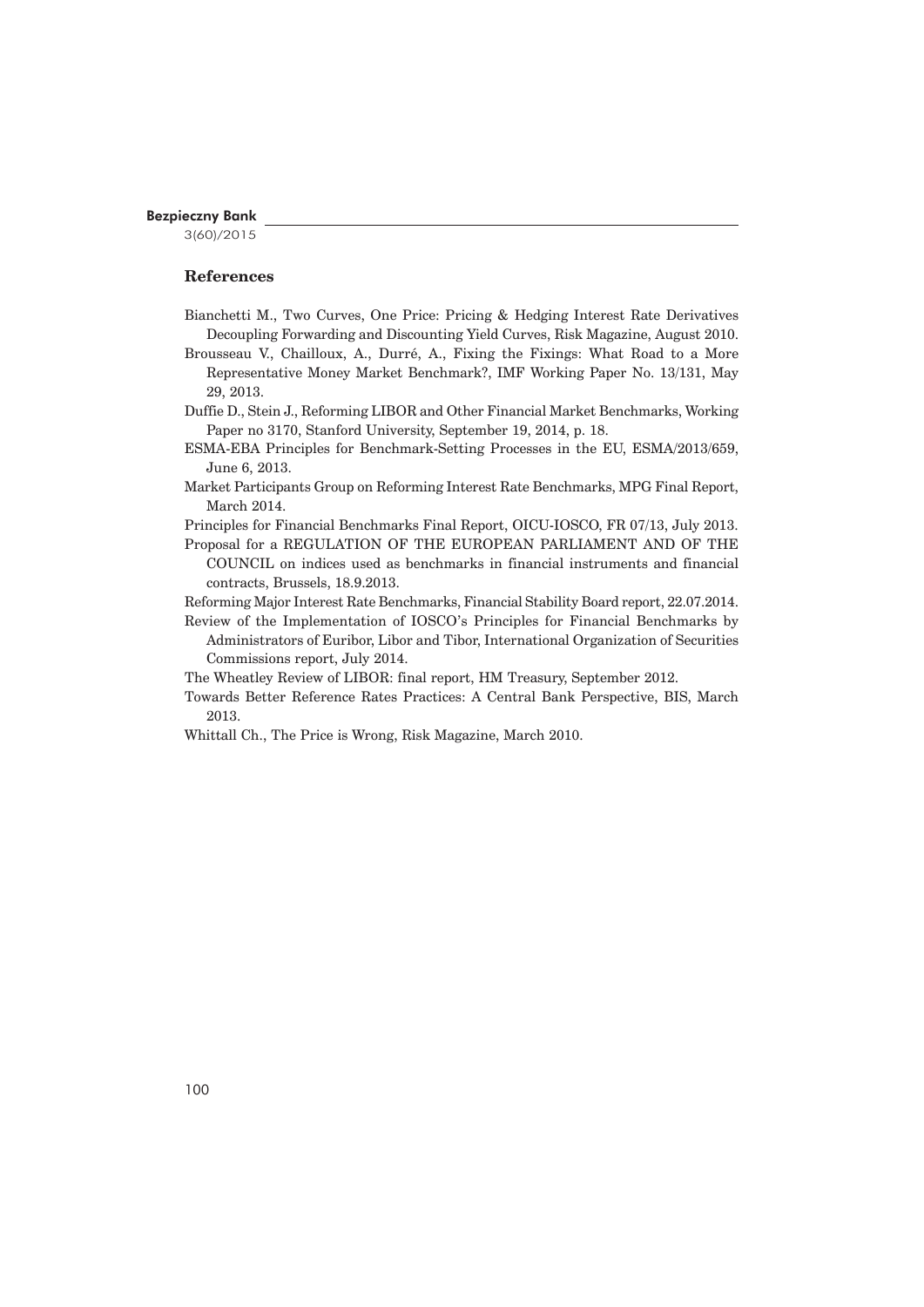3(60)/2015

# **References**

- Bianchetti M., Two Curves, One Price: Pricing & Hedging Interest Rate Derivatives Decoupling Forwarding and Discounting Yield Curves, Risk Magazine, August 2010.
- Brousseau V., Chailloux, A., Durré, A., Fixing the Fixings: What Road to a More Representative Money Market Benchmark?, IMF Working Paper No. 13/131, May 29, 2013.
- Duffie D., Stein J., Reforming LIBOR and Other Financial Market Benchmarks, Working Paper no 3170, Stanford University, September 19, 2014, p. 18.
- ESMA-EBA Principles for Benchmark-Setting Processes in the EU, ESMA/2013/659, June 6, 2013.
- Market Participants Group on Reforming Interest Rate Benchmarks, MPG Final Report, March 2014.
- Principles for Financial Benchmarks Final Report, OICU-IOSCO, FR 07/13, July 2013.
- Proposal for a REGULATION OF THE EUROPEAN PARLIAMENT AND OF THE COUNCIL on indices used as benchmarks in financial instruments and financial contracts, Brussels, 18.9.2013.
- Reforming Major Interest Rate Benchmarks, Financial Stability Board report, 22.07.2014.
- Review of the Implementation of IOSCO's Principles for Financial Benchmarks by Administrators of Euribor, Libor and Tibor, International Organization of Securities Commissions report, July 2014.
- The Wheatley Review of LIBOR: final report, HM Treasury, September 2012.
- Towards Better Reference Rates Practices: A Central Bank Perspective, BIS, March 2013.
- Whittall Ch., The Price is Wrong, Risk Magazine, March 2010.